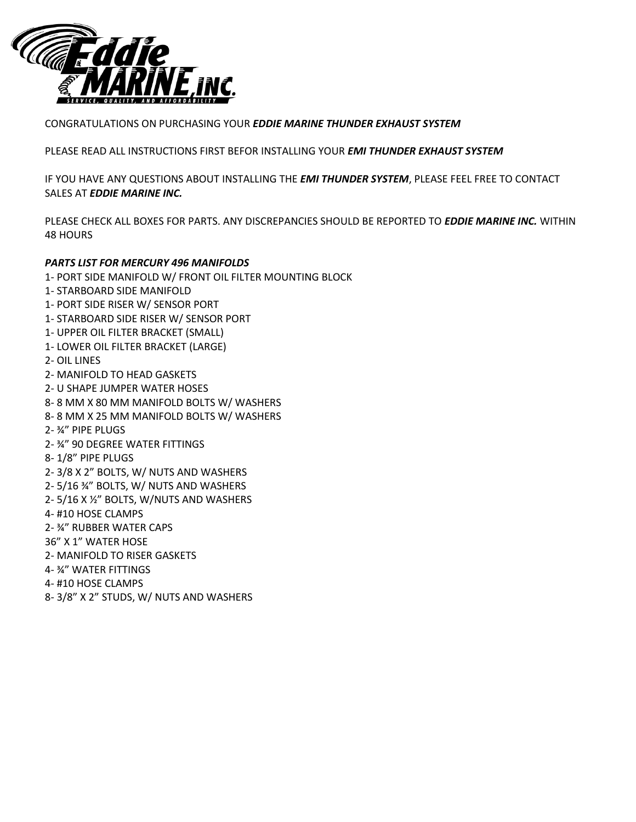

#### CONGRATULATIONS ON PURCHASING YOUR *EDDIE MARINE THUNDER EXHAUST SYSTEM*

PLEASE READ ALL INSTRUCTIONS FIRST BEFOR INSTALLING YOUR *EMI THUNDER EXHAUST SYSTEM*

IF YOU HAVE ANY QUESTIONS ABOUT INSTALLING THE *EMI THUNDER SYSTEM*, PLEASE FEEL FREE TO CONTACT SALES AT *EDDIE MARINE INC.*

PLEASE CHECK ALL BOXES FOR PARTS. ANY DISCREPANCIES SHOULD BE REPORTED TO *EDDIE MARINE INC.* WITHIN 48 HOURS

## *PARTS LIST FOR MERCURY 496 MANIFOLDS*

- 1- PORT SIDE MANIFOLD W/ FRONT OIL FILTER MOUNTING BLOCK
- 1- STARBOARD SIDE MANIFOLD
- 1- PORT SIDE RISER W/ SENSOR PORT
- 1- STARBOARD SIDE RISER W/ SENSOR PORT
- 1- UPPER OIL FILTER BRACKET (SMALL)
- 1- LOWER OIL FILTER BRACKET (LARGE)
- 2- OIL LINES
- 2- MANIFOLD TO HEAD GASKETS
- 2- U SHAPE JUMPER WATER HOSES
- 8- 8 MM X 80 MM MANIFOLD BOLTS W/ WASHERS
- 8- 8 MM X 25 MM MANIFOLD BOLTS W/ WASHERS
- 2- ¾" PIPE PLUGS
- 2- ¾" 90 DEGREE WATER FITTINGS
- 8- 1/8" PIPE PLUGS
- 2- 3/8 X 2" BOLTS, W/ NUTS AND WASHERS
- 2- 5/16 ¾" BOLTS, W/ NUTS AND WASHERS
- 2- 5/16 X ½" BOLTS, W/NUTS AND WASHERS
- 4- #10 HOSE CLAMPS
- 2- ¾" RUBBER WATER CAPS
- 36" X 1" WATER HOSE
- 2- MANIFOLD TO RISER GASKETS
- 4- ¾" WATER FITTINGS
- 4- #10 HOSE CLAMPS
- 8- 3/8" X 2" STUDS, W/ NUTS AND WASHERS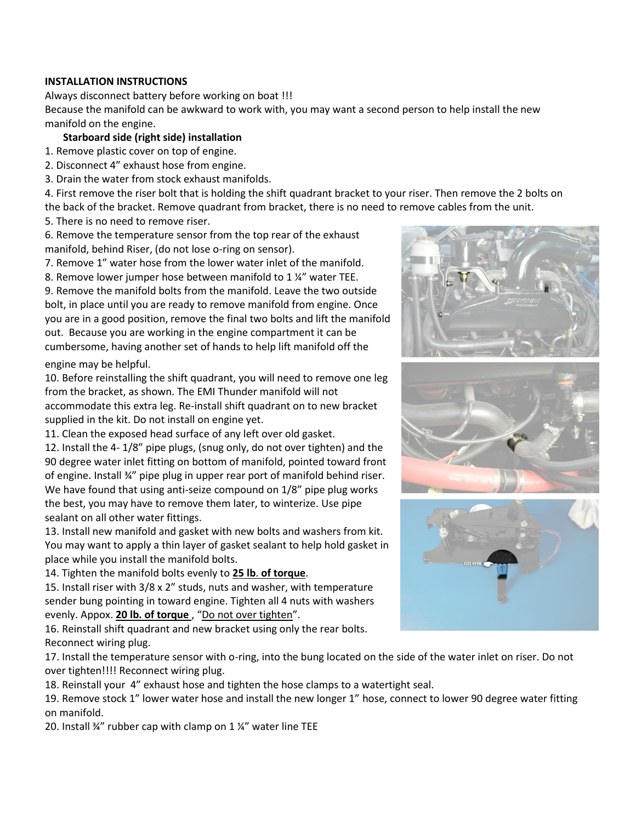# **INSTALLATION INSTRUCTIONS**

Always disconnect battery before working on boat !!! Because the manifold can be awkward to work with, you may want a second person to help install the new manifold on the engine.

# **Starboard side (right side) installation**

1. Remove plastic cover on top of engine.

- 2. Disconnect 4" exhaust hose from engine.
- 3. Drain the water from stock exhaust manifolds.

4. First remove the riser bolt that is holding the shift quadrant bracket to your riser. Then remove the 2 bolts on the back of the bracket. Remove quadrant from bracket, there is no need to remove cables from the unit.

5. There is no need to remove riser.

6. Remove the temperature sensor from the top rear of the exhaust manifold, behind Riser, (do not lose o-ring on sensor).

7. Remove 1" water hose from the lower water inlet of the manifold.

8. Remove lower jumper hose between manifold to 1 ¼" water TEE.

9. Remove the manifold bolts from the manifold. Leave the two outside bolt, in place until you are ready to remove manifold from engine. Once you are in a good position, remove the final two bolts and lift the manifold out. Because you are working in the engine compartment it can be cumbersome, having another set of hands to help lift manifold off the

#### engine may be helpful.

10. Before reinstalling the shift quadrant, you will need to remove one leg from the bracket, as shown. The EMI Thunder manifold will not accommodate this extra leg. Re-install shift quadrant on to new bracket supplied in the kit. Do not install on engine yet.

11. Clean the exposed head surface of any left over old gasket.

12. Install the 4- 1/8" pipe plugs, (snug only, do not over tighten) and the 90 degree water inlet fitting on bottom of manifold, pointed toward front of engine. Install ¾" pipe plug in upper rear port of manifold behind riser. We have found that using anti-seize compound on 1/8" pipe plug works the best, you may have to remove them later, to winterize. Use pipe sealant on all other water fittings.

13. Install new manifold and gasket with new bolts and washers from kit. You may want to apply a thin layer of gasket sealant to help hold gasket in place while you install the manifold bolts.

14. Tighten the manifold bolts evenly to **25 lb**. **of torque**.

15. Install riser with 3/8 x 2" studs, nuts and washer, with temperature sender bung pointing in toward engine. Tighten all 4 nuts with washers evenly. Appox. **20 lb. of torque** , "Do not over tighten".

16. Reinstall shift quadrant and new bracket using only the rear bolts. Reconnect wiring plug.

17. Install the temperature sensor with o-ring, into the bung located on the side of the water inlet on riser. Do not over tighten!!!! Reconnect wiring plug.

18. Reinstall your 4" exhaust hose and tighten the hose clamps to a watertight seal.

19. Remove stock 1" lower water hose and install the new longer 1" hose, connect to lower 90 degree water fitting on manifold.

20. Install ¾" rubber cap with clamp on 1 ¼" water line TEE





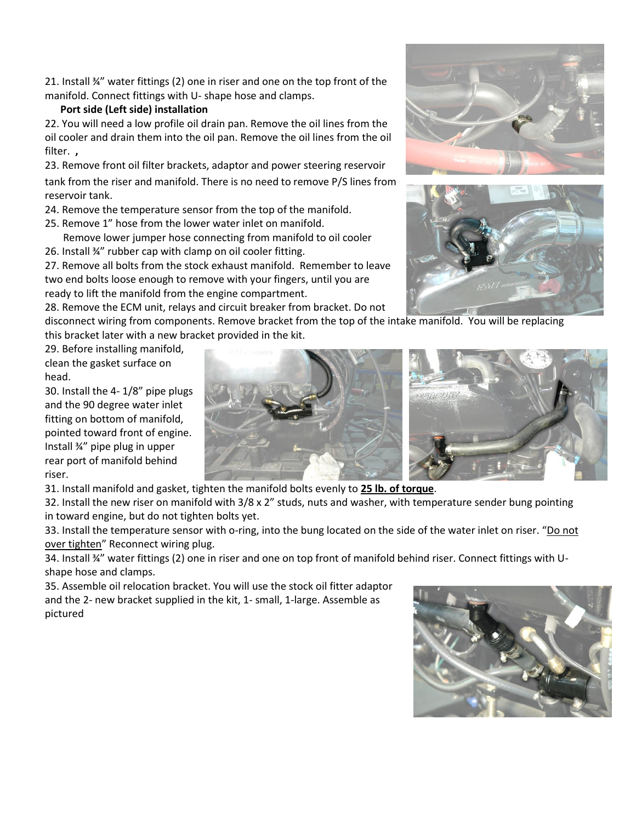21. Install ¾" water fittings (2) one in riser and one on the top front of the manifold. Connect fittings with U- shape hose and clamps.

### **Port side (Left side) installation**

22. You will need a low profile oil drain pan. Remove the oil lines from the oil cooler and drain them into the oil pan. Remove the oil lines from the oil filter. **,**

23. Remove front oil filter brackets, adaptor and power steering reservoir

tank from the riser and manifold. There is no need to remove P/S lines from reservoir tank.

24. Remove the temperature sensor from the top of the manifold.

25. Remove 1" hose from the lower water inlet on manifold.

 Remove lower jumper hose connecting from manifold to oil cooler 26. Install ¾" rubber cap with clamp on oil cooler fitting.

27. Remove all bolts from the stock exhaust manifold. Remember to leave two end bolts loose enough to remove with your fingers, until you are ready to lift the manifold from the engine compartment.

28. Remove the ECM unit, relays and circuit breaker from bracket. Do not

disconnect wiring from components. Remove bracket from the top of the intake manifold. You will be replacing this bracket later with a new bracket provided in the kit.

29. Before installing manifold, clean the gasket surface on head.

30. Install the 4- 1/8" pipe plugs and the 90 degree water inlet fitting on bottom of manifold, pointed toward front of engine. Install ¾" pipe plug in upper rear port of manifold behind riser.



31. Install manifold and gasket, tighten the manifold bolts evenly to **25 lb. of torque**.

32. Install the new riser on manifold with 3/8 x 2" studs, nuts and washer, with temperature sender bung pointing in toward engine, but do not tighten bolts yet.

33. Install the temperature sensor with o-ring, into the bung located on the side of the water inlet on riser. "Do not over tighten" Reconnect wiring plug.

34. Install ¾" water fittings (2) one in riser and one on top front of manifold behind riser. Connect fittings with Ushape hose and clamps.

35. Assemble oil relocation bracket. You will use the stock oil fitter adaptor and the 2- new bracket supplied in the kit, 1- small, 1-large. Assemble as pictured